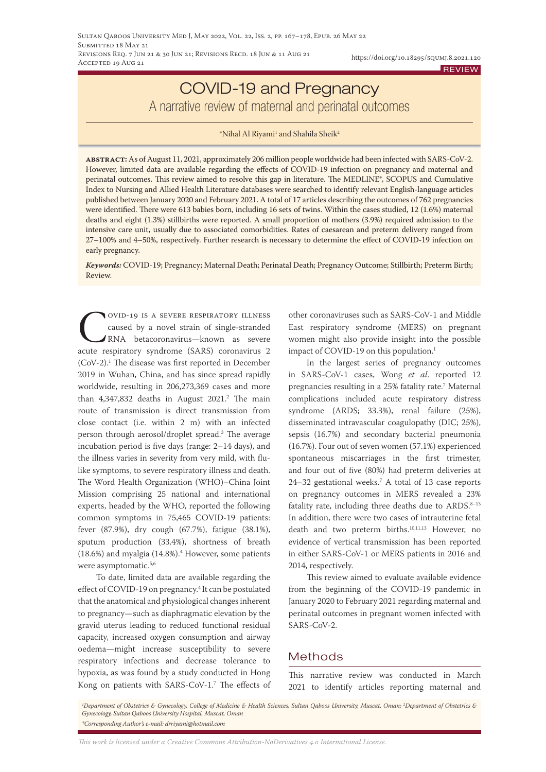# COVID-19 and Pregnancy A narrative review of maternal and perinatal outcomes

 $^{\ast}$ Nihal Al Riyami $^{\rm l}$  and Shahila Sheik $^{\rm 2}$ 

**abstract:** As of August 11, 2021, approximately 206 million people worldwide had been infected with SARS-CoV-2. However, limited data are available regarding the effects of COVID-19 infection on pregnancy and maternal and perinatal outcomes. This review aimed to resolve this gap in literature. The MEDLINE®, SCOPUS and Cumulative Index to Nursing and Allied Health Literature databases were searched to identify relevant English-language articles published between January 2020 and February 2021. A total of 17 articles describing the outcomes of 762 pregnancies were identified. There were 613 babies born, including 16 sets of twins. Within the cases studied, 12 (1.6%) maternal deaths and eight (1.3%) stillbirths were reported. A small proportion of mothers (3.9%) required admission to the intensive care unit, usually due to associated comorbidities. Rates of caesarean and preterm delivery ranged from 27–100% and 4–50%, respectively. Further research is necessary to determine the effect of COVID-19 infection on early pregnancy.

*Keywords:* COVID-19; Pregnancy; Maternal Death; Perinatal Death; Pregnancy Outcome; Stillbirth; Preterm Birth; Review.

Covid-19 is a severe respiratory illness caused by a novel strain of single-stranded RNA betacoronavirus—known as severe acute respiratory syndrome (SARS) coronavirus 2 (CoV-2).1 The disease was first reported in December 2019 in Wuhan, China, and has since spread rapidly worldwide, resulting in 206,273,369 cases and more than 4,347,832 deaths in August 2021.2 The main route of transmission is direct transmission from close contact (i.e. within 2 m) with an infected person through aerosol/droplet spread.3 The average incubation period is five days (range: 2–14 days), and the illness varies in severity from very mild, with flulike symptoms, to severe respiratory illness and death. The Word Health Organization (WHO)–China Joint Mission comprising 25 national and international experts, headed by the WHO, reported the following common symptoms in 75,465 COVID-19 patients: fever (87.9%), dry cough (67.7%), fatigue (38.1%), sputum production (33.4%), shortness of breath (18.6%) and myalgia (14.8%).4 However, some patients were asymptomatic.<sup>5,6</sup>

To date, limited data are available regarding the effect of COVID-19 on pregnancy.4 It can be postulated that the anatomical and physiological changes inherent to pregnancy—such as diaphragmatic elevation by the gravid uterus leading to reduced functional residual capacity, increased oxygen consumption and airway oedema—might increase susceptibility to severe respiratory infections and decrease tolerance to hypoxia, as was found by a study conducted in Hong Kong on patients with SARS-CoV-1.7 The effects of other coronaviruses such as SARS-CoV-1 and Middle East respiratory syndrome (MERS) on pregnant women might also provide insight into the possible impact of COVID-19 on this population.<sup>1</sup>

In the largest series of pregnancy outcomes in SARS-CoV-1 cases, Wong *et al*. reported 12 pregnancies resulting in a 25% fatality rate.7 Maternal complications included acute respiratory distress syndrome (ARDS; 33.3%), renal failure (25%), disseminated intravascular coagulopathy (DIC; 25%), sepsis (16.7%) and secondary bacterial pneumonia (16.7%). Four out of seven women (57.1%) experienced spontaneous miscarriages in the first trimester, and four out of five (80%) had preterm deliveries at 24–32 gestational weeks.7 A total of 13 case reports on pregnancy outcomes in MERS revealed a 23% fatality rate, including three deaths due to ARDS.<sup>8-13</sup> In addition, there were two cases of intrauterine fetal death and two preterm births.<sup>10,11,13</sup> However, no evidence of vertical transmission has been reported in either SARS-CoV-1 or MERS patients in 2016 and 2014, respectively.

This review aimed to evaluate available evidence from the beginning of the COVID-19 pandemic in January 2020 to February 2021 regarding maternal and perinatal outcomes in pregnant women infected with SARS-CoV-2.

# **Methods**

This narrative review was conducted in March 2021 to identify articles reporting maternal and

*1 Department of Obstetrics & Gynecology, College of Medicine & Health Sciences, Sultan Qaboos University, Muscat, Oman; 2 Department of Obstetrics & Gynecology, Sultan Qaboos University Hospital, Muscat, Oman \*Corresponding Author's e-mail: drriyami@hotmail.com*

*This work is licensed under a [Creative Commons Attribution-NoDerivatives 4.0 International License.](https://creativecommons.org/licenses/by-nd/4.0/)*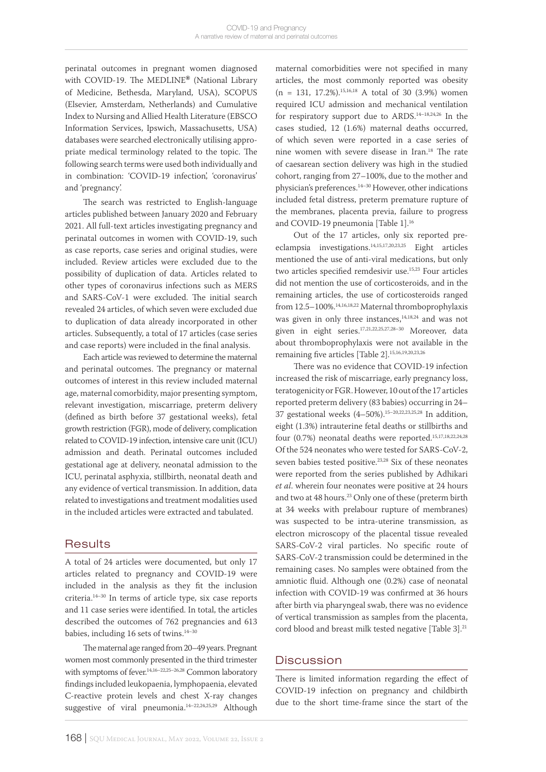perinatal outcomes in pregnant women diagnosed with COVID-19. The MEDLINE**®** (National Library of Medicine, Bethesda, Maryland, USA), SCOPUS (Elsevier, Amsterdam, Netherlands) and Cumulative Index to Nursing and Allied Health Literature (EBSCO Information Services, Ipswich, Massachusetts, USA) databases were searched electronically utilising appropriate medical terminology related to the topic. The following search terms were used both individually and in combination: 'COVID-19 infection', 'coronavirus' and 'pregnancy'.

The search was restricted to English-language articles published between January 2020 and February 2021. All full-text articles investigating pregnancy and perinatal outcomes in women with COVID-19, such as case reports, case series and original studies, were included. Review articles were excluded due to the possibility of duplication of data. Articles related to other types of coronavirus infections such as MERS and SARS-CoV-1 were excluded. The initial search revealed 24 articles, of which seven were excluded due to duplication of data already incorporated in other articles. Subsequently, a total of 17 articles (case series and case reports) were included in the final analysis.

Each article was reviewed to determine the maternal and perinatal outcomes. The pregnancy or maternal outcomes of interest in this review included maternal age, maternal comorbidity, major presenting symptom, relevant investigation, miscarriage, preterm delivery (defined as birth before 37 gestational weeks), fetal growth restriction (FGR), mode of delivery, complication related to COVID-19 infection, intensive care unit (ICU) admission and death. Perinatal outcomes included gestational age at delivery, neonatal admission to the ICU, perinatal asphyxia, stillbirth, neonatal death and any evidence of vertical transmission. In addition, data related to investigations and treatment modalities used in the included articles were extracted and tabulated.

# **Results**

A total of 24 articles were documented, but only 17 articles related to pregnancy and COVID-19 were included in the analysis as they fit the inclusion criteria.14–30 In terms of article type, six case reports and 11 case series were identified. In total, the articles described the outcomes of 762 pregnancies and 613 babies, including 16 sets of twins.<sup>14-30</sup>

The maternal age ranged from 20–49 years. Pregnant women most commonly presented in the third trimester with symptoms of fever.<sup>14,16–22,25–26,28</sup> Common laboratory findings included leukopaenia, lymphopaenia, elevated C-reactive protein levels and chest X-ray changes suggestive of viral pneumonia.14–22,24,25,29 Although

maternal comorbidities were not specified in many articles, the most commonly reported was obesity  $(n = 131, 17.2\%).$ <sup>15,16,18</sup> A total of 30 (3.9%) women required ICU admission and mechanical ventilation for respiratory support due to ARDS.14–18,24,26 In the cases studied, 12 (1.6%) maternal deaths occurred, of which seven were reported in a case series of nine women with severe disease in Iran.18 The rate of caesarean section delivery was high in the studied cohort, ranging from 27–100%, due to the mother and physician's preferences.14–30 However, other indications included fetal distress, preterm premature rupture of the membranes, placenta previa, failure to progress and COVID-19 pneumonia [Table 1].<sup>16</sup>

Out of the 17 articles, only six reported preeclampsia investigations.14,15,17,20,23,25 Eight articles mentioned the use of anti-viral medications, but only two articles specified remdesivir use.15,23 Four articles did not mention the use of corticosteroids, and in the remaining articles, the use of corticosteroids ranged from 12.5–100%.14,16,18,22 Maternal thromboprophylaxis was given in only three instances,<sup>14,18,24</sup> and was not given in eight series.17,21,22,25,27,28–30 Moreover, data about thromboprophylaxis were not available in the remaining five articles [Table 2].15,16,19,20,23,26

There was no evidence that COVID-19 infection increased the risk of miscarriage, early pregnancy loss, teratogenicity or FGR. However, 10 out of the 17 articles reported preterm delivery (83 babies) occurring in 24– 37 gestational weeks (4–50%).15–20,22,23,25,28 In addition, eight (1.3%) intrauterine fetal deaths or stillbirths and four (0.7%) neonatal deaths were reported.<sup>15,17,18,22,24,28</sup> Of the 524 neonates who were tested for SARS-CoV-2, seven babies tested positive.23,28 Six of these neonates were reported from the series published by Adhikari *et al*. wherein four neonates were positive at 24 hours and two at 48 hours.<sup>23</sup> Only one of these (preterm birth at 34 weeks with prelabour rupture of membranes) was suspected to be intra-uterine transmission, as electron microscopy of the placental tissue revealed SARS-CoV-2 viral particles. No specific route of SARS-CoV-2 transmission could be determined in the remaining cases. No samples were obtained from the amniotic fluid. Although one (0.2%) case of neonatal infection with COVID-19 was confirmed at 36 hours after birth via pharyngeal swab, there was no evidence of vertical transmission as samples from the placenta, cord blood and breast milk tested negative [Table 3].<sup>21</sup>

# **Discussion**

There is limited information regarding the effect of COVID-19 infection on pregnancy and childbirth due to the short time-frame since the start of the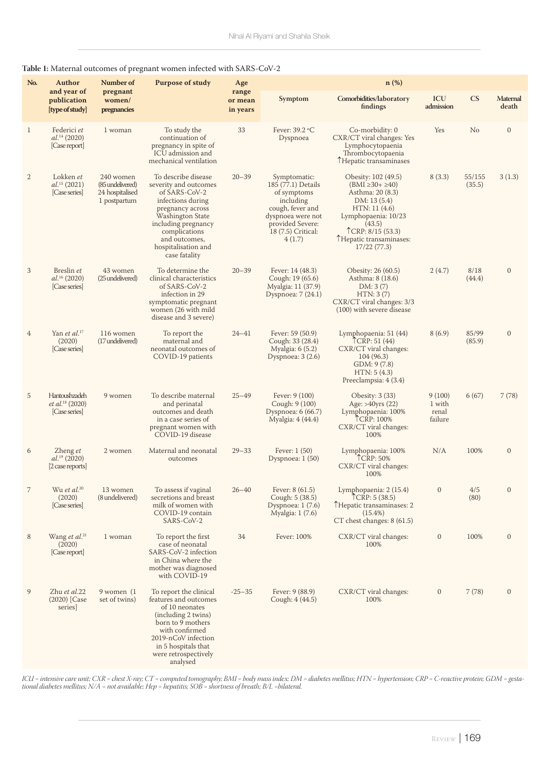# **Table 1:** Maternal outcomes of pregnant women infected with SARS-CoV-2

| No.            | Author<br>and year of                                         | Number of                                                        | <b>Purpose of study</b>                                                                                                                                                                                                     | Age                          | n (%)                                                                                                                                                       |                                                                                                                                                                                                    |                                      |                  |                          |
|----------------|---------------------------------------------------------------|------------------------------------------------------------------|-----------------------------------------------------------------------------------------------------------------------------------------------------------------------------------------------------------------------------|------------------------------|-------------------------------------------------------------------------------------------------------------------------------------------------------------|----------------------------------------------------------------------------------------------------------------------------------------------------------------------------------------------------|--------------------------------------|------------------|--------------------------|
|                | publication<br>[type of study]                                | pregnant<br>women/<br>pregnancies                                |                                                                                                                                                                                                                             | range<br>or mean<br>in years | Symptom                                                                                                                                                     | Comorbidities/laboratory<br>findings                                                                                                                                                               | ICU<br>admission                     | CS               | <b>Maternal</b><br>death |
| $\mathbf{1}$   | Federici et<br>$al.^{14}$ (2020)<br>[Case report]             | 1 woman                                                          | To study the<br>continuation of<br>pregnancy in spite of<br>ICU admission and<br>mechanical ventilation                                                                                                                     | 33                           | Fever: 39.2 °C<br>Dyspnoea                                                                                                                                  | Co-morbidity: 0<br>CXR/CT viral changes: Yes<br>Lymphocytopaenia<br>Thrombocytopaenia<br>THepatic transaminases                                                                                    | Yes                                  | No               | $\mathbf{0}$             |
| $\overline{2}$ | Lokken et<br>$al.^{15}$ (2021)<br>[Case series]               | 240 women<br>(85 undelivered)<br>24 hospitalised<br>1 postpartum | To describe disease<br>severity and outcomes<br>of SARS-CoV-2<br>infections during<br>pregnancy across<br>Washington State<br>including pregnancy<br>complications<br>and outcomes,<br>hospitalisation and<br>case fatality | $20 - 39$                    | Symptomatic:<br>185 (77.1) Details<br>of symptoms<br>including<br>cough, fever and<br>dyspnoea were not<br>provided Severe:<br>18 (7.5) Critical:<br>4(1.7) | Obesity: 102 (49.5)<br>$(BMI \ge 30 + \ge 40)$<br>Asthma: 20 (8.3)<br>DM: 13 (5.4)<br>HTN: 11(4.6)<br>Lymphopaenia: 10/23<br>(43.5)<br>TCRP: 8/15 (53.3)<br>THepatic transaminases:<br>17/22(77.3) | 8(3.3)                               | 55/155<br>(35.5) | 3(1.3)                   |
| 3              | Breslin et<br>al. <sup>16</sup> (2020)<br>[Case series]       | 43 women<br>(25 undelivered)                                     | To determine the<br>clinical characteristics<br>of SARS-CoV-2<br>infection in 29<br>symptomatic pregnant<br>women (26 with mild<br>disease and 3 severe)                                                                    | $20 - 39$                    | Fever: 14 (48.3)<br>Cough: 19 (65.6)<br>Myalgia: 11 (37.9)<br>Dyspnoea: 7 (24.1)                                                                            | Obesity: 26 (60.5)<br>Asthma: 8 (18.6)<br>DM: 3(7)<br>HTN: 3(7)<br>CXR/CT viral changes: 3/3<br>(100) with severe disease                                                                          | 2(4.7)                               | 8/18<br>(44.4)   | $\mathbf{0}$             |
| 4              | Yan et al. <sup>17</sup><br>(2020)<br>[Case series]           | 116 women<br>(17 undelivered)                                    | To report the<br>maternal and<br>neonatal outcomes of<br>COVID-19 patients                                                                                                                                                  | $24 - 41$                    | Fever: 59 (50.9)<br>Cough: 33 (28.4)<br>Myalgia: 6 (5.2)<br>Dyspnoea: 3 (2.6)                                                                               | Lymphopaenia: 51 (44)<br>TCRP: 51 (44)<br>CXR/CT viral changes:<br>104 (96.3)<br>GDM: 9 (7.8)<br>HTN: 5(4.3)<br>Preeclampsia: 4 (3.4)                                                              | 8(6.9)                               | 85/99<br>(85.9)  | $\mathbf{0}$             |
| 5              | Hantoushzadeh<br>et al. <sup>18</sup> (2020)<br>[Case series] | 9 women                                                          | To describe maternal<br>and perinatal<br>outcomes and death<br>in a case series of<br>pregnant women with<br>COVID-19 disease                                                                                               | $25 - 49$                    | Fever: 9 (100)<br>Cough: 9 (100)<br>Dyspnoea: 6 (66.7)<br>Myalgia: 4 (44.4)                                                                                 | Obesity: $3(33)$<br>Age: >40yrs (22)<br>Lymphopaenia: 100%<br>TCRP: 100%<br>CXR/CT viral changes:<br>100%                                                                                          | 9(100)<br>1 with<br>renal<br>failure | 6(67)            | 7(78)                    |
| 6              | Zheng et<br>$al.^{19}$ (2020)<br>[2 case reports]             | 2 women                                                          | Maternal and neonatal<br>outcomes                                                                                                                                                                                           | $29 - 33$                    | Fever: $1(50)$<br>Dyspnoea: $1(50)$                                                                                                                         | Lymphopaenia: 100%<br>TCRP: 50%<br>CXR/CT viral changes:<br>100%                                                                                                                                   | N/A                                  | 100%             | $\mathbf{0}$             |
| $\overline{7}$ | Wu et al. <sup>20</sup><br>(2020)<br>[Case series]            | 13 women<br>(8 undelivered)                                      | To assess if vaginal<br>secretions and breast<br>milk of women with<br>COVID-19 contain<br>SARS-CoV-2                                                                                                                       | $26 - 40$                    | Fever: $8(61.5)$<br>Cough: 5 (38.5)<br>Dyspnoea: $1(7.6)$<br>Myalgia: 1 (7.6)                                                                               | Lymphopaenia: 2 (15.4)<br>TCRP: 5(38.5)<br>THepatic transaminases: 2<br>$(15.4\%)$<br>CT chest changes: $8(61.5)$                                                                                  | $\mathbf{0}$                         | 4/5<br>(80)      | $\mathbf{0}$             |
| 8              | Wang et $al.^{21}$<br>(2020)<br>[Case report]                 | 1 woman                                                          | To report the first<br>case of neonatal<br>SARS-CoV-2 infection<br>in China where the<br>mother was diagnosed<br>with COVID-19                                                                                              | 34                           | Fever: 100%                                                                                                                                                 | CXR/CT viral changes:<br>100%                                                                                                                                                                      | $\boldsymbol{0}$                     | 100%             | $\mathbf{0}$             |
| 9              | Zhu et al.22<br>$(2020)$ [Case<br>series]                     | 9 women (1<br>set of twins)                                      | To report the clinical<br>features and outcomes<br>of 10 neonates<br>(including 2 twins)<br>born to 9 mothers<br>with confirmed<br>2019-nCoV infection<br>in 5 hospitals that<br>were retrospectively<br>analysed           | $-25 - 35$                   | Fever: 9 (88.9)<br>Cough: 4 (44.5)                                                                                                                          | CXR/CT viral changes:<br>100%                                                                                                                                                                      | $\boldsymbol{0}$                     | 7(78)            | $\mathbf{0}$             |

*ICU = intensive care unit; CXR = chest X-ray; CT = computed tomography; BMI = body mass index; DM = diabetes mellitus; HTN = hypertension; CRP = C-reactive protein; GDM = gestational diabetes mellitus; N/A = not available; Hep = hepatitis; SOB = shortness of breath; B/L =bilateral.*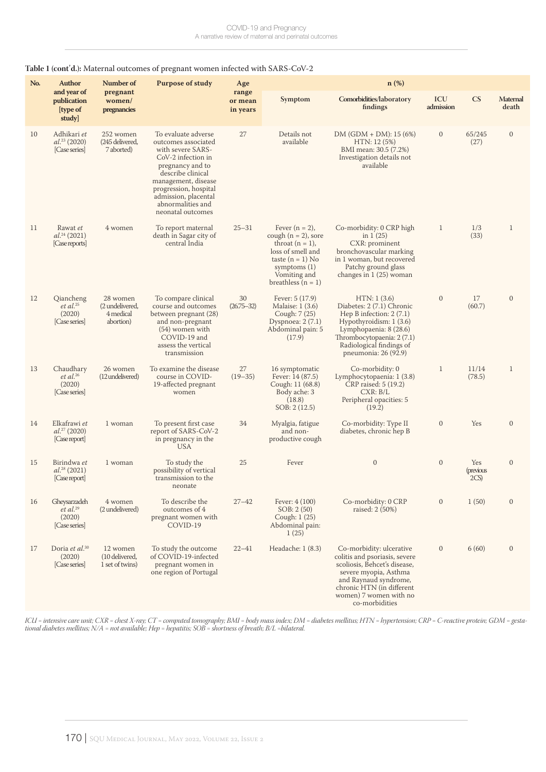### **Table 1 (cont**'**d.):** Maternal outcomes of pregnant women infected with SARS-CoV-2

| No. | Author                                                       | Number of<br>pregnant<br>women/<br>pregnancies        | <b>Purpose of study</b>                                                                                                                                                                                                                          | Age                          | $n$ (%)                                                                                                                                                                |                                                                                                                                                                                                                      |                  |                         |                          |  |
|-----|--------------------------------------------------------------|-------------------------------------------------------|--------------------------------------------------------------------------------------------------------------------------------------------------------------------------------------------------------------------------------------------------|------------------------------|------------------------------------------------------------------------------------------------------------------------------------------------------------------------|----------------------------------------------------------------------------------------------------------------------------------------------------------------------------------------------------------------------|------------------|-------------------------|--------------------------|--|
|     | and year of<br>publication<br>[type of<br>study]             |                                                       |                                                                                                                                                                                                                                                  | range<br>or mean<br>in years | Symptom                                                                                                                                                                | Comorbidities/laboratory<br>findings                                                                                                                                                                                 | ICU<br>admission | CS                      | <b>Maternal</b><br>death |  |
| 10  | Adhikari et<br>$al.^{23}$ (2020)<br>[Case series]            | 252 women<br>(245 delivered,<br>7 aborted)            | To evaluate adverse<br>outcomes associated<br>with severe SARS-<br>CoV-2 infection in<br>pregnancy and to<br>describe clinical<br>management, disease<br>progression, hospital<br>admission, placental<br>abnormalities and<br>neonatal outcomes | 27                           | Details not<br>available                                                                                                                                               | DM (GDM + DM): 15 (6%)<br>HTN: 12 (5%)<br>BMI mean: 30.5 (7.2%)<br>Investigation details not<br>available                                                                                                            | $\mathbf{0}$     | 65/245<br>(27)          | $\mathbf{0}$             |  |
| 11  | Rawat et<br>$al.^{24}$ (2021)<br>[Case reports]              | 4 women                                               | To report maternal<br>death in Sagar city of<br>central India                                                                                                                                                                                    | $25 - 31$                    | Fever $(n = 2)$ ,<br>cough $(n = 2)$ , sore<br>throat $(n = 1)$ ,<br>loss of smell and<br>taste $(n = 1)$ No<br>symptoms $(1)$<br>Vomiting and<br>breathless $(n = 1)$ | Co-morbidity: 0 CRP high<br>in $1(25)$<br>CXR: prominent<br>bronchovascular marking<br>in 1 woman, but recovered<br>Patchy ground glass<br>changes in $1(25)$ woman                                                  | 1                | 1/3<br>(33)             | $\mathbf 1$              |  |
| 12  | Qiancheng<br>et al. <sup>25</sup><br>(2020)<br>[Case series] | 28 women<br>(2 undelivered,<br>4 medical<br>abortion) | To compare clinical<br>course and outcomes<br>between pregnant (28)<br>and non-pregnant<br>(54) women with<br>COVID-19 and<br>assess the vertical<br>transmission                                                                                | 30<br>$(26.75 - 32)$         | Fever: $5(17.9)$<br>Malaise: 1 (3.6)<br>Cough: 7 (25)<br>Dyspnoea: $2(7.1)$<br>Abdominal pain: 5<br>(17.9)                                                             | HTN: 1(3.6)<br>Diabetes: 2 (7.1) Chronic<br>Hep B infection: $2(7.1)$<br>Hypothyroidism: 1 (3.6)<br>Lymphopaenia: 8 (28.6)<br>Thrombocytopaenia: 2 (7.1)<br>Radiological findings of<br>pneumonia: 26 (92.9)         | $\mathbf{0}$     | 17<br>(60.7)            | $\mathbf{0}$             |  |
| 13  | Chaudhary<br>$et$ al. $26$<br>(2020)<br>[Case series]        | 26 women<br>(12 undelivered)                          | To examine the disease<br>course in COVID-<br>19-affected pregnant<br>women                                                                                                                                                                      | 27<br>$(19 - 35)$            | 16 symptomatic<br>Fever: $14(87.5)$<br>Cough: 11 (68.8)<br>Body ache: 3<br>(18.8)<br>SOB: 2 (12.5)                                                                     | Co-morbidity: 0<br>Lymphocytopaenia: 1 (3.8)<br>CRP raised: 5 (19.2)<br>CXR: B/L<br>Peripheral opacities: 5<br>(19.2)                                                                                                | $\mathbf{1}$     | 11/14<br>(78.5)         | $\mathbf{1}$             |  |
| 14  | Elkafrawi et<br>$al.^{27}$ (2020)<br>[Case report]           | 1 woman                                               | To present first case<br>report of SARS-CoV-2<br>in pregnancy in the<br><b>USA</b>                                                                                                                                                               | 34                           | Myalgia, fatigue<br>and non-<br>productive cough                                                                                                                       | Co-morbidity: Type II<br>diabetes, chronic hep B                                                                                                                                                                     | $\mathbf{0}$     | Yes                     | $\mathbf{0}$             |  |
| 15  | Birindwa et<br>$al.^{28}$ (2021)<br>[Case report]            | 1 woman                                               | To study the<br>possibility of vertical<br>transmission to the<br>neonate                                                                                                                                                                        | 25                           | Fever                                                                                                                                                                  | $\boldsymbol{0}$                                                                                                                                                                                                     | $\mathbf{0}$     | Yes<br>(previous<br>2CS | $\mathbf{0}$             |  |
| 16  | Gheysarzadeh<br>$et$ al. $^{29}$<br>(2020)<br>[Case series]  | 4 women<br>(2 undelivered)                            | To describe the<br>outcomes of 4<br>pregnant women with<br>COVID-19                                                                                                                                                                              | $27 - 42$                    | Fever: $4(100)$<br>SOB: 2(50)<br>Cough: 1 (25)<br>Abdominal pain:<br>1(25)                                                                                             | Co-morbidity: 0 CRP<br>raised: 2 (50%)                                                                                                                                                                               | $\mathbf{0}$     | 1(50)                   | $\mathbf{0}$             |  |
| 17  | Doria et al. <sup>30</sup><br>(2020)<br>[Case series]        | 12 women<br>(10 delivered,<br>1 set of twins)         | To study the outcome<br>of COVID-19-infected<br>pregnant women in<br>one region of Portugal                                                                                                                                                      | $22 - 41$                    | Headache: 1 (8.3)                                                                                                                                                      | Co-morbidity: ulcerative<br>colitis and psoriasis, severe<br>scoliosis, Behcet's disease,<br>severe myopia, Asthma<br>and Raynaud syndrome,<br>chronic HTN (in different<br>women) 7 women with no<br>co-morbidities | $\mathbf{0}$     | 6(60)                   | $\mathbf{0}$             |  |

*ICU = intensive care unit; CXR = chest X-ray; CT = computed tomography; BMI = body mass index; DM = diabetes mellitus; HTN = hypertension; CRP = C-reactive protein; GDM = gestational diabetes mellitus; N/A = not available; Hep = hepatitis; SOB = shortness of breath; B/L =bilateral.*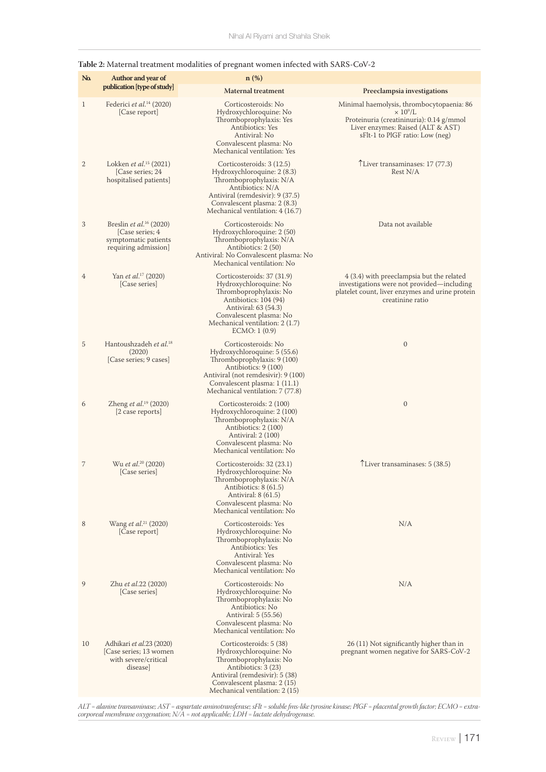| Na           | Author and year of                                                                                     | $n$ (%)                                                                                                                                                                                                                |                                                                                                                                                                                              |
|--------------|--------------------------------------------------------------------------------------------------------|------------------------------------------------------------------------------------------------------------------------------------------------------------------------------------------------------------------------|----------------------------------------------------------------------------------------------------------------------------------------------------------------------------------------------|
|              | publication [type of study]                                                                            | <b>Maternal treatment</b>                                                                                                                                                                                              | Preeclampsia investigations                                                                                                                                                                  |
| $\mathbf{1}$ | Federici et al. <sup>14</sup> (2020)<br>[Case report]                                                  | Corticosteroids: No<br>Hydroxychloroquine: No<br>Thromboprophylaxis: Yes<br>Antibiotics: Yes<br>Antiviral: No<br>Convalescent plasma: No<br>Mechanical ventilation: Yes                                                | Minimal haemolysis, thrombocytopaenia: 86<br>$\times$ 10 <sup>9</sup> /L<br>Proteinuria (creatininuria): 0.14 g/mmol<br>Liver enzymes: Raised (ALT & AST)<br>sFlt-1 to PlGF ratio: Low (neg) |
| $\mathbf{2}$ | Lokken <i>et al.</i> <sup>15</sup> (2021)<br>[Case series; 24<br>hospitalised patients]                | Corticosteroids: 3 (12.5)<br>Hydroxychloroquine: 2 (8.3)<br>Thromboprophylaxis: N/A<br>Antibiotics: N/A<br>Antiviral (remdesivir): 9 (37.5)<br>Convalescent plasma: 2 (8.3)<br>Mechanical ventilation: 4 (16.7)        | TLiver transaminases: 17 (77.3)<br>Rest N/A                                                                                                                                                  |
| 3            | Breslin et al. <sup>16</sup> (2020)<br>[Case series; 4<br>symptomatic patients<br>requiring admission] | Corticosteroids: No<br>Hydroxychloroquine: 2 (50)<br>Thromboprophylaxis: N/A<br>Antibiotics: 2 (50)<br>Antiviral: No Convalescent plasma: No<br>Mechanical ventilation: No                                             | Data not available                                                                                                                                                                           |
| 4            | Yan et al. <sup>17</sup> (2020)<br>[Case series]                                                       | Corticosteroids: 37 (31.9)<br>Hydroxychloroquine: No<br>Thromboprophylaxis: No<br>Antibiotics: 104 (94)<br>Antiviral: 63 (54.3)<br>Convalescent plasma: No<br>Mechanical ventilation: 2 (1.7)<br>ECMO: 1(0.9)          | 4 (3.4) with preeclampsia but the related<br>investigations were not provided—including<br>platelet count, liver enzymes and urine protein<br>creatinine ratio                               |
| 5            | Hantoushzadeh et al. <sup>18</sup><br>(2020)<br>[Case series; 9 cases]                                 | Corticosteroids: No<br>Hydroxychloroquine: 5 (55.6)<br>Thromboprophylaxis: 9 (100)<br>Antibiotics: 9 (100)<br>Antiviral (not remdesivir): 9 (100)<br>Convalescent plasma: 1 (11.1)<br>Mechanical ventilation: 7 (77.8) | $\boldsymbol{0}$                                                                                                                                                                             |
| 6            | Zheng <i>et al.</i> <sup>19</sup> (2020)<br>[2 case reports]                                           | Corticosteroids: 2 (100)<br>Hydroxychloroquine: 2 (100)<br>Thromboprophylaxis: N/A<br>Antibiotics: 2 (100)<br>Antiviral: 2 (100)<br>Convalescent plasma: No<br>Mechanical ventilation: No                              | $\mathbf{0}$                                                                                                                                                                                 |
| 7            | Wu et al. <sup>20</sup> (2020)<br>[Case series]                                                        | Corticosteroids: 32 (23.1)<br>Hydroxychloroquine: No<br>Thromboprophylaxis: N/A<br>Antibiotics: 8 (61.5)<br>Antiviral: $8(61.5)$<br>Convalescent plasma: No<br>Mechanical ventilation: No                              | TLiver transaminases: 5 (38.5)                                                                                                                                                               |
| 8            | Wang et al. <sup>21</sup> (2020)<br>[Case report]                                                      | Corticosteroids: Yes<br>Hydroxychloroquine: No<br>Thromboprophylaxis: No<br>Antibiotics: Yes<br>Antiviral: Yes<br>Convalescent plasma: No<br>Mechanical ventilation: No                                                | N/A                                                                                                                                                                                          |
| 9            | Zhu <i>et al</i> .22 (2020)<br>[Case series]                                                           | Corticosteroids: No<br>Hydroxychloroquine: No<br>Thromboprophylaxis: No<br>Antibiotics: No<br>Antiviral: 5 (55.56)<br>Convalescent plasma: No<br>Mechanical ventilation: No                                            | N/A                                                                                                                                                                                          |
| 10           | Adhikari et al.23 (2020)<br>[Case series; 13 women]<br>with severe/critical<br>disease                 | Corticosteroids: 5 (38)<br>Hydroxychloroquine: No<br>Thromboprophylaxis: No<br>Antibiotics: 3 (23)<br>Antiviral (remdesivir): 5 (38)<br>Convalescent plasma: 2 (15)<br>Mechanical ventilation: 2 (15)                  | 26 (11) Not significantly higher than in<br>pregnant women negative for SARS-CoV-2                                                                                                           |

# **Table 2:** Maternal treatment modalities of pregnant women infected with SARS-CoV-2

*ALT = alanine transaminase; AST = aspartate aminotransferase; sFlt = soluble fms-like tyrosine kinase; PlGF = placental growth factor; ECMO = extracorporeal membrane oxygenation; N/A = not applicable; LDH = lactate dehydrogenase.*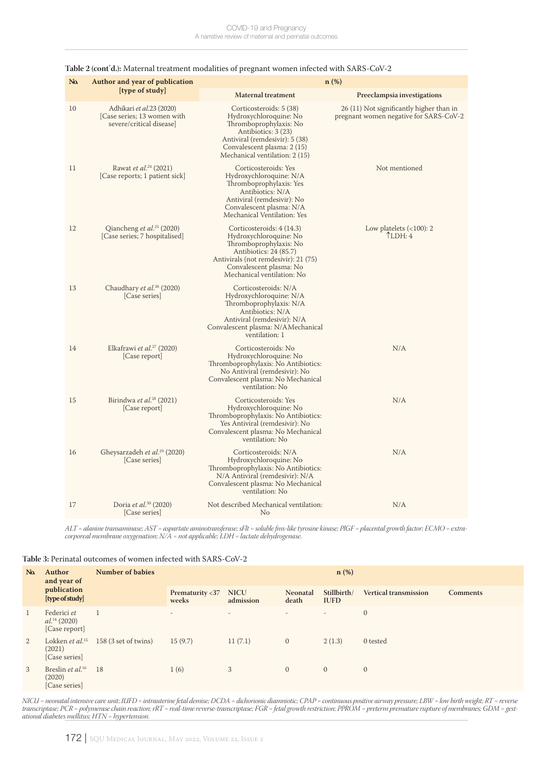| N <sub>a</sub> | Author and year of publication                                                       | $n$ (%)                                                                                                                                                                                                  |                                                                                    |  |  |  |  |  |
|----------------|--------------------------------------------------------------------------------------|----------------------------------------------------------------------------------------------------------------------------------------------------------------------------------------------------------|------------------------------------------------------------------------------------|--|--|--|--|--|
|                | [type of study]                                                                      | <b>Maternal treatment</b>                                                                                                                                                                                | Preeclampsia investigations                                                        |  |  |  |  |  |
| 10             | Adhikari et al.23 (2020)<br>[Case series; 13 women with]<br>severe/critical disease] | Corticosteroids: 5 (38)<br>Hydroxychloroquine: No<br>Thromboprophylaxis: No<br>Antibiotics: 3 (23)<br>Antiviral (remdesivir): 5 (38)<br>Convalescent plasma: 2 (15)<br>Mechanical ventilation: 2 (15)    | 26 (11) Not significantly higher than in<br>pregnant women negative for SARS-CoV-2 |  |  |  |  |  |
| 11             | Rawat et al. <sup>24</sup> (2021)<br>[Case reports; 1 patient sick]                  | Corticosteroids: Yes<br>Hydroxychloroquine: N/A<br>Thromboprophylaxis: Yes<br>Antibiotics: N/A<br>Antiviral (remdesivir): No<br>Convalescent plasma: N/A<br>Mechanical Ventilation: Yes                  | Not mentioned                                                                      |  |  |  |  |  |
| 12             | Qiancheng et al. <sup>25</sup> (2020)<br>[Case series; 7 hospitalised]               | Corticosteroids: 4 (14.3)<br>Hydroxychloroquine: No<br>Thromboprophylaxis: No<br>Antibiotics: 24 (85.7)<br>Antivirals (not remdesivir): 21 (75)<br>Convalescent plasma: No<br>Mechanical ventilation: No | Low platelets $(<100): 2$<br>LDH:4                                                 |  |  |  |  |  |
| 13             | Chaudhary et al. <sup>26</sup> (2020)<br>[Case series]                               | Corticosteroids: N/A<br>Hydroxychloroquine: N/A<br>Thromboprophylaxis: N/A<br>Antibiotics: N/A<br>Antiviral (remdesivir): N/A<br>Convalescent plasma: N/AMechanical<br>ventilation: 1                    |                                                                                    |  |  |  |  |  |
| 14             | Elkafrawi et al. <sup>27</sup> (2020)<br>[Case report]                               | Corticosteroids: No<br>Hydroxychloroquine: No<br>Thromboprophylaxis: No Antibiotics:<br>No Antiviral (remdesivir): No<br>Convalescent plasma: No Mechanical<br>ventilation: No                           | N/A                                                                                |  |  |  |  |  |
| 15             | Birindwa et al. <sup>28</sup> (2021)<br>[Case report]                                | Corticosteroids: Yes<br>Hydroxychloroquine: No<br>Thromboprophylaxis: No Antibiotics:<br>Yes Antiviral (remdesivir): No<br>Convalescent plasma: No Mechanical<br>ventilation: No                         | N/A                                                                                |  |  |  |  |  |
| 16             | Gheysarzadeh et al. <sup>29</sup> (2020)<br>[Case series]                            | Corticosteroids: N/A<br>Hydroxychloroquine: No<br>Thromboprophylaxis: No Antibiotics:<br>N/A Antiviral (remdesivir): N/A<br>Convalescent plasma: No Mechanical<br>ventilation: No                        | N/A                                                                                |  |  |  |  |  |
| 17             | Doria et al. <sup>30</sup> (2020)<br>[Case series]                                   | Not described Mechanical ventilation:<br>No                                                                                                                                                              | N/A                                                                                |  |  |  |  |  |

#### **Table 2 (cont**'**d.):** Maternal treatment modalities of pregnant women infected with SARS-CoV-2

*ALT = alanine transaminase; AST = aspartate aminotransferase; sFlt = soluble fms-like tyrosine kinase; PlGF = placental growth factor; ECMO = extracorporeal membrane oxygenation; N/A = not applicable; LDH = lactate dehydrogenase.*

| Table 3: Perinatal outcomes of women infected with SARS-CoV-2 |
|---------------------------------------------------------------|
|                                                               |

| N <sub>a</sub> | Author<br>and year of<br>publication<br>[type of study]           | <b>Number of babies</b> | $n$ (%)                       |                          |                          |                            |                              |                 |  |
|----------------|-------------------------------------------------------------------|-------------------------|-------------------------------|--------------------------|--------------------------|----------------------------|------------------------------|-----------------|--|
|                |                                                                   |                         | Prematurity <37 NICU<br>weeks | admission                | Neonatal<br>death        | Stillbirth/<br><b>IUFD</b> | <b>Vertical transmission</b> | <b>Comments</b> |  |
| 1              | Federici et<br>$al.^{14}$ (2020)<br>[Case report]                 |                         | $\overline{a}$                | $\overline{\phantom{a}}$ | $\overline{\phantom{a}}$ | $\overline{\phantom{m}}$   | $\mathbf{0}$                 |                 |  |
| 2              | Lokken <i>et al</i> . <sup>15</sup><br>(2021)<br>[Case series]    | 158 (3 set of twins)    | 15(9.7)                       | 11(7.1)                  | $\overline{0}$           | 2(1.3)                     | 0 tested                     |                 |  |
| 3              | Breslin <i>et al.</i> <sup>16</sup> 18<br>(2020)<br>[Case series] |                         | 1(6)                          | 3                        | $\overline{0}$           | $\overline{0}$             | $\overline{0}$               |                 |  |

*NICU = neonatal intensive care unit; IUFD = intrauterine fetal demise; DCDA = dichorionic diamniotic; CPAP = continuous positive airway pressure; LBW = low birth weight; RT = reverse transcriptase; PCR = polymerase chain reaction; rRT = real-time reverse-transcriptase; FGR = fetal growth restriction; PPROM = preterm premature rupture of membranes; GDM = gestational diabetes mellitus; HTN = hypertension.*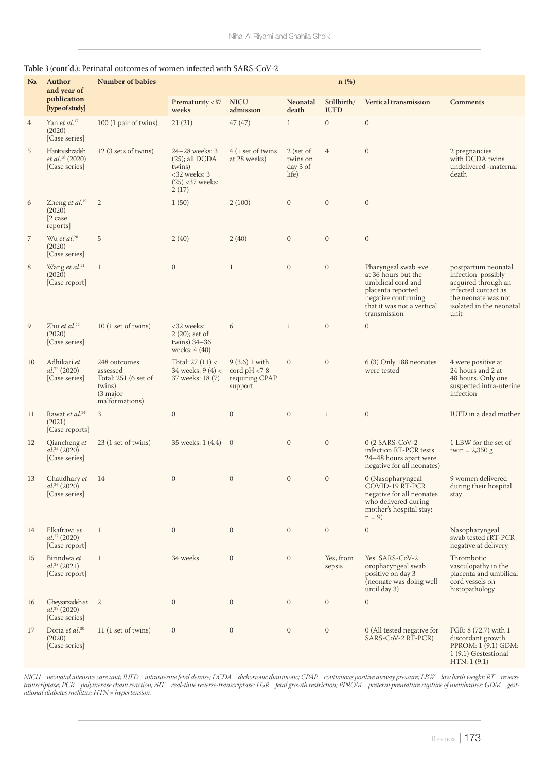| No.            | Author<br>and year of                                          | <b>Number of babies</b>                                                                  | $n$ (%)                                                                                         |                                                             |                                            |                            |                                                                                                                                                            |                                                                                                                                                    |  |
|----------------|----------------------------------------------------------------|------------------------------------------------------------------------------------------|-------------------------------------------------------------------------------------------------|-------------------------------------------------------------|--------------------------------------------|----------------------------|------------------------------------------------------------------------------------------------------------------------------------------------------------|----------------------------------------------------------------------------------------------------------------------------------------------------|--|
|                | publication<br>[type of study]                                 |                                                                                          | Prematurity <37<br>weeks                                                                        | <b>NICU</b><br>admission                                    | Neonatal<br>death                          | Stillbirth/<br><b>IUFD</b> | <b>Vertical transmission</b>                                                                                                                               | <b>Comments</b>                                                                                                                                    |  |
| $\overline{4}$ | Yan et al. $17$<br>(2020)<br>[Case series]                     | 100 (1 pair of twins)                                                                    | 21(21)                                                                                          | 47(47)                                                      | $\mathbf{1}$                               | $\mathbf{0}$               | $\mathbf{0}$                                                                                                                                               |                                                                                                                                                    |  |
| 5              | Hantoushzadeh<br>et al. <sup>18</sup> (2020)<br>[Case series]  | 12 (3 sets of twins)                                                                     | 24-28 weeks: 3<br>$(25)$ ; all DCDA<br>twins)<br>$<$ 32 weeks: 3<br>$(25)$ < 37 weeks:<br>2(17) | 4 (1 set of twins<br>at 28 weeks)                           | 2 (set of<br>twins on<br>day 3 of<br>life) | $\overline{4}$             | $\mathbf{0}$                                                                                                                                               | 2 pregnancies<br>with DCDA twins<br>undelivered -maternal<br>death                                                                                 |  |
| 6              | Zheng et al. <sup>19</sup><br>(2020)<br>$[2 \case$<br>reports] | $\mathbf{2}$                                                                             | 1(50)                                                                                           | 2(100)                                                      | $\mathbf{0}$                               | $\mathbf{0}$               | $\mathbf{0}$                                                                                                                                               |                                                                                                                                                    |  |
| $\overline{7}$ | Wu et al. $20$<br>(2020)<br>[Case series]                      | 5                                                                                        | 2(40)                                                                                           | 2(40)                                                       | $\mathbf{0}$                               | $\mathbf{0}$               | $\mathbf{0}$                                                                                                                                               |                                                                                                                                                    |  |
| 8              | Wang et al. <sup>21</sup><br>(2020)<br>[Case report]           | $\mathbf{1}$                                                                             | $\mathbf{0}$                                                                                    | $\mathbf{1}$                                                | $\mathbf{0}$                               | $\mathbf{0}$               | Pharyngeal swab +ve<br>at 36 hours but the<br>umbilical cord and<br>placenta reported<br>negative confirming<br>that it was not a vertical<br>transmission | postpartum neonatal<br>infection possibly<br>acquired through an<br>infected contact as<br>the neonate was not<br>isolated in the neonatal<br>unit |  |
| 9              | Zhu et al. <sup>22</sup><br>(2020)<br>[Case series]            | 10 (1 set of twins)                                                                      | <32 weeks:<br>$2(20)$ ; set of<br>twins) $34-36$<br>weeks: 4 (40)                               | 6                                                           | $\mathbf{1}$                               | $\boldsymbol{0}$           | $\mathbf{0}$                                                                                                                                               |                                                                                                                                                    |  |
| 10             | Adhikari et<br>$al.^{23}$ (2020)<br>[Case series]              | 248 outcomes<br>assessed<br>Total: 251 (6 set of<br>twins)<br>(3 major<br>malformations) | Total: $27(11) <$<br>34 weeks: $9(4) <$<br>37 weeks: 18 (7)                                     | 9(3.6) 1 with<br>cord $pH < 8$<br>requiring CPAP<br>support | $\mathbf{0}$                               | $\boldsymbol{0}$           | 6 (3) Only 188 neonates<br>were tested                                                                                                                     | 4 were positive at<br>24 hours and 2 at<br>48 hours. Only one<br>suspected intra-uterine<br>infection                                              |  |
| 11             | Rawat et al. <sup>24</sup><br>(2021)<br>[Case reports]         | 3                                                                                        | $\mathbf{0}$                                                                                    | $\mathbf{0}$                                                | $\mathbf{0}$                               | $1\,$                      | $\mathbf{0}$                                                                                                                                               | IUFD in a dead mother                                                                                                                              |  |
| 12             | Qiancheng et<br>$al.^{25}$ (2020)<br>[Case series]             | 23 (1 set of twins)                                                                      | 35 weeks: 1 (4.4) 0                                                                             |                                                             | $\mathbf{0}$                               | $\boldsymbol{0}$           | $0(2$ SARS-CoV-2<br>infection RT-PCR tests<br>24-48 hours apart were<br>negative for all neonates)                                                         | 1 LBW for the set of<br>twin = $2,350$ g                                                                                                           |  |
| 13             | Chaudhary et<br>$al.^{26}$ (2020)<br>[Case series]             | 14                                                                                       | $\boldsymbol{0}$                                                                                | $\mathbf{0}$                                                | $\mathbf{0}$                               | $\mathbf{0}$               | 0 (Nasopharyngeal<br>COVID-19 RT-PCR<br>negative for all neonates<br>who delivered during<br>mother's hospital stay;<br>$n = 9$                            | 9 women delivered<br>during their hospital<br>stay                                                                                                 |  |
| 14             | Elkafrawi et<br>$al.^{27}$ (2020)<br>[Case report]             | $\mathbf{1}$                                                                             | $\mathbf{0}$                                                                                    | $\mathbf{0}$                                                | $\mathbf{0}$                               | $\boldsymbol{0}$           | $\boldsymbol{0}$                                                                                                                                           | Nasopharyngeal<br>swab tested rRT-PCR<br>negative at delivery                                                                                      |  |
| 15             | Birindwa et<br>$al.^{28}$ (2021)<br>[Case report]              | $\mathbf{1}$                                                                             | 34 weeks                                                                                        | $\mathbf{0}$                                                | $\mathbf{0}$                               | Yes, from<br>sepsis        | Yes SARS-CoV-2<br>oropharyngeal swab<br>positive on day 3<br>(neonate was doing well<br>until day 3)                                                       | Thrombotic<br>vasculopathy in the<br>placenta and umbilical<br>cord vessels on<br>histopathology                                                   |  |
| 16             | Gheysarzadehet 2<br>$al.^{29}$ (2020)<br>[Case series]         |                                                                                          | $\mathbf{0}$                                                                                    | $\mathbf{0}$                                                | $\mathbf{0}$                               | $\mathbf{0}$               | $\overline{0}$                                                                                                                                             |                                                                                                                                                    |  |
| 17             | Doria et al. <sup>30</sup><br>(2020)<br>[Case series]          | 11(1 set of twins)                                                                       | $\mathbf{0}$                                                                                    | $\mathbf{0}$                                                | $\mathbf{0}$                               | $\boldsymbol{0}$           | 0 (All tested negative for<br>SARS-CoV-2 RT-PCR)                                                                                                           | FGR: 8 (72.7) with 1<br>discordant growth<br>PPROM: 1 (9.1) GDM:<br>1 (9.1) Gestestional<br>HTN: 1(9.1)                                            |  |

### **Table 3 (cont**'**d.):** Perinatal outcomes of women infected with SARS-CoV-2

*NICU = neonatal intensive care unit; IUFD = intrauterine fetal demise; DCDA = dichorionic diamniotic; CPAP = continuous positive airway pressure; LBW = low birth weight; RT = reverse transcriptase; PCR = polymerase chain reaction; rRT = real-time reverse-transcriptase; FGR = fetal growth restriction; PPROM = preterm premature rupture of membranes; GDM = gestational diabetes mellitus; HTN = hypertension.*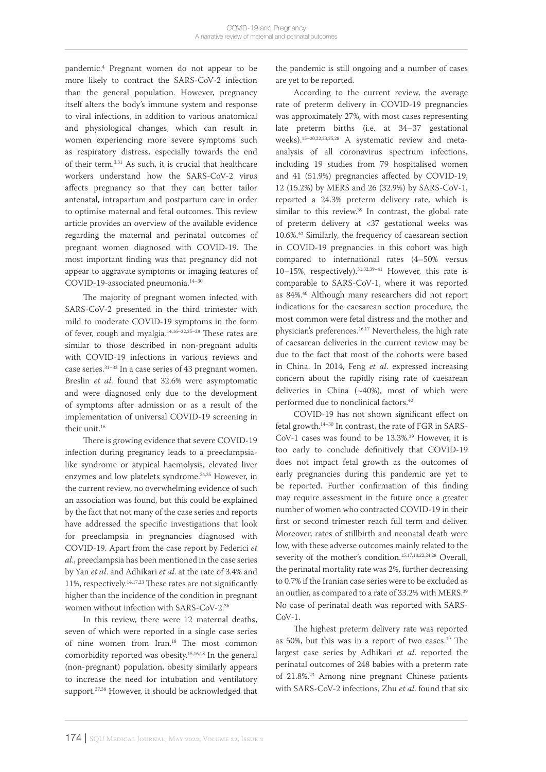pandemic.4 Pregnant women do not appear to be more likely to contract the SARS-CoV-2 infection than the general population. However, pregnancy itself alters the body's immune system and response to viral infections, in addition to various anatomical and physiological changes, which can result in women experiencing more severe symptoms such as respiratory distress, especially towards the end of their term.3,31 As such, it is crucial that healthcare workers understand how the SARS-CoV-2 virus affects pregnancy so that they can better tailor antenatal, intrapartum and postpartum care in order to optimise maternal and fetal outcomes. This review article provides an overview of the available evidence regarding the maternal and perinatal outcomes of pregnant women diagnosed with COVID-19. The most important finding was that pregnancy did not appear to aggravate symptoms or imaging features of COVID-19-associated pneumonia.14–30

The majority of pregnant women infected with SARS-CoV-2 presented in the third trimester with mild to moderate COVID-19 symptoms in the form of fever, cough and myalgia.14,16–22,25–28 These rates are similar to those described in non-pregnant adults with COVID-19 infections in various reviews and case series.31–33 In a case series of 43 pregnant women, Breslin *et al*. found that 32.6% were asymptomatic and were diagnosed only due to the development of symptoms after admission or as a result of the implementation of universal COVID-19 screening in their unit.<sup>16</sup>

There is growing evidence that severe COVID-19 infection during pregnancy leads to a preeclampsialike syndrome or atypical haemolysis, elevated liver enzymes and low platelets syndrome.34,35 However, in the current review, no overwhelming evidence of such an association was found, but this could be explained by the fact that not many of the case series and reports have addressed the specific investigations that look for preeclampsia in pregnancies diagnosed with COVID-19. Apart from the case report by Federici *et al*., preeclampsia has been mentioned in the case series by Yan *et al*. and Adhikari *et al*. at the rate of 3.4% and 11%, respectively.14,17,23 These rates are not significantly higher than the incidence of the condition in pregnant women without infection with SARS-CoV-2.36

In this review, there were 12 maternal deaths, seven of which were reported in a single case series of nine women from Iran.18 The most common comorbidity reported was obesity.15,16,18 In the general (non-pregnant) population, obesity similarly appears to increase the need for intubation and ventilatory support.<sup>37,38</sup> However, it should be acknowledged that

the pandemic is still ongoing and a number of cases are yet to be reported.

According to the current review, the average rate of preterm delivery in COVID-19 pregnancies was approximately 27%, with most cases representing late preterm births (i.e. at 34–37 gestational weeks).15–20,22,23,25,28 A systematic review and metaanalysis of all coronavirus spectrum infections, including 19 studies from 79 hospitalised women and 41 (51.9%) pregnancies affected by COVID-19, 12 (15.2%) by MERS and 26 (32.9%) by SARS-CoV-1, reported a 24.3% preterm delivery rate, which is similar to this review.<sup>39</sup> In contrast, the global rate of preterm delivery at <37 gestational weeks was 10.6%.40 Similarly, the frequency of caesarean section in COVID-19 pregnancies in this cohort was high compared to international rates (4–50% versus 10–15%, respectively).31,32,39–41 However, this rate is comparable to SARS-CoV-1, where it was reported as 84%.40 Although many researchers did not report indications for the caesarean section procedure, the most common were fetal distress and the mother and physician's preferences.16,17 Nevertheless, the high rate of caesarean deliveries in the current review may be due to the fact that most of the cohorts were based in China. In 2014, Feng *et al*. expressed increasing concern about the rapidly rising rate of caesarean deliveries in China (~40%), most of which were performed due to nonclinical factors.42

COVID-19 has not shown significant effect on fetal growth.14–30 In contrast, the rate of FGR in SARS-CoV-1 cases was found to be 13.3%.<sup>39</sup> However, it is too early to conclude definitively that COVID-19 does not impact fetal growth as the outcomes of early pregnancies during this pandemic are yet to be reported. Further confirmation of this finding may require assessment in the future once a greater number of women who contracted COVID-19 in their first or second trimester reach full term and deliver. Moreover, rates of stillbirth and neonatal death were low, with these adverse outcomes mainly related to the severity of the mother's condition.<sup>15,17,18,22,24,28</sup> Overall, the perinatal mortality rate was 2%, further decreasing to 0.7% if the Iranian case series were to be excluded as an outlier, as compared to a rate of 33.2% with MERS.<sup>39</sup> No case of perinatal death was reported with SARS-CoV-1.

The highest preterm delivery rate was reported as 50%, but this was in a report of two cases.<sup>19</sup> The largest case series by Adhikari *et al*. reported the perinatal outcomes of 248 babies with a preterm rate of 21.8%.23 Among nine pregnant Chinese patients with SARS-CoV-2 infections, Zhu *et al*. found that six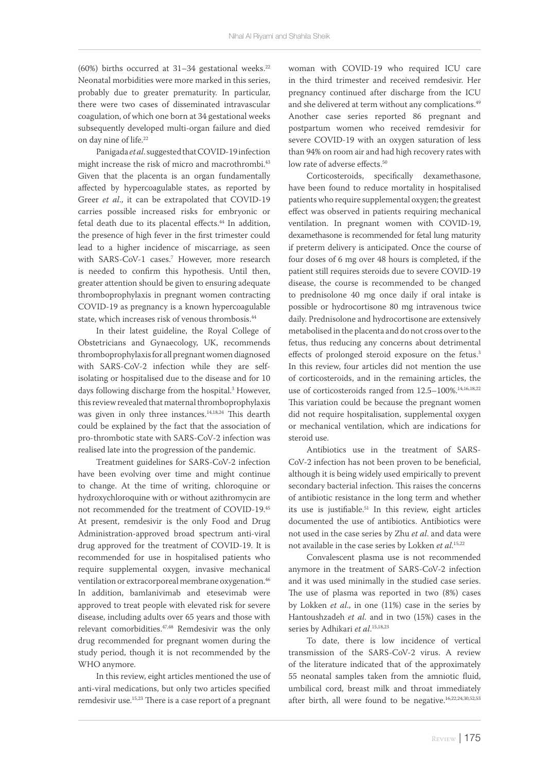(60%) births occurred at  $31-34$  gestational weeks.<sup>22</sup> Neonatal morbidities were more marked in this series, probably due to greater prematurity. In particular, there were two cases of disseminated intravascular coagulation, of which one born at 34 gestational weeks subsequently developed multi-organ failure and died on day nine of life.22

Panigada *et al*. suggested that COVID-19 infection might increase the risk of micro and macrothrombi.<sup>43</sup> Given that the placenta is an organ fundamentally affected by hypercoagulable states, as reported by Greer *et al*., it can be extrapolated that COVID-19 carries possible increased risks for embryonic or fetal death due to its placental effects.<sup>44</sup> In addition, the presence of high fever in the first trimester could lead to a higher incidence of miscarriage, as seen with SARS-CoV-1 cases.<sup>7</sup> However, more research is needed to confirm this hypothesis. Until then, greater attention should be given to ensuring adequate thromboprophylaxis in pregnant women contracting COVID-19 as pregnancy is a known hypercoagulable state, which increases risk of venous thrombosis.<sup>44</sup>

In their latest guideline, the Royal College of Obstetricians and Gynaecology, UK, recommends thromboprophylaxis for all pregnant women diagnosed with SARS-CoV-2 infection while they are selfisolating or hospitalised due to the disease and for 10 days following discharge from the hospital.3 However, this review revealed that maternal thromboprophylaxis was given in only three instances.<sup>14,18,24</sup> This dearth could be explained by the fact that the association of pro-thrombotic state with SARS-CoV-2 infection was realised late into the progression of the pandemic.

Treatment guidelines for SARS-CoV-2 infection have been evolving over time and might continue to change. At the time of writing, chloroquine or hydroxychloroquine with or without azithromycin are not recommended for the treatment of COVID-19.45 At present, remdesivir is the only Food and Drug Administration-approved broad spectrum anti-viral drug approved for the treatment of COVID-19. It is recommended for use in hospitalised patients who require supplemental oxygen, invasive mechanical ventilation or extracorporeal membrane oxygenation.<sup>46</sup> In addition, bamlanivimab and etesevimab were approved to treat people with elevated risk for severe disease, including adults over 65 years and those with relevant comorbidities.<sup>47,48</sup> Remdesivir was the only drug recommended for pregnant women during the study period, though it is not recommended by the WHO anymore.

In this review, eight articles mentioned the use of anti-viral medications, but only two articles specified remdesivir use.<sup>15,23</sup> There is a case report of a pregnant woman with COVID-19 who required ICU care in the third trimester and received remdesivir. Her pregnancy continued after discharge from the ICU and she delivered at term without any complications.<sup>49</sup> Another case series reported 86 pregnant and postpartum women who received remdesivir for severe COVID-19 with an oxygen saturation of less than 94% on room air and had high recovery rates with low rate of adverse effects.<sup>50</sup>

Corticosteroids, specifically dexamethasone, have been found to reduce mortality in hospitalised patients who require supplemental oxygen; the greatest effect was observed in patients requiring mechanical ventilation. In pregnant women with COVID-19, dexamethasone is recommended for fetal lung maturity if preterm delivery is anticipated. Once the course of four doses of 6 mg over 48 hours is completed, if the patient still requires steroids due to severe COVID-19 disease, the course is recommended to be changed to prednisolone 40 mg once daily if oral intake is possible or hydrocortisone 80 mg intravenous twice daily. Prednisolone and hydrocortisone are extensively metabolised in the placenta and do not cross over to the fetus, thus reducing any concerns about detrimental effects of prolonged steroid exposure on the fetus.<sup>3</sup> In this review, four articles did not mention the use of corticosteroids, and in the remaining articles, the use of corticosteroids ranged from 12.5-100%.<sup>14,16,18,22</sup> This variation could be because the pregnant women did not require hospitalisation, supplemental oxygen or mechanical ventilation, which are indications for steroid use.

Antibiotics use in the treatment of SARS-CoV-2 infection has not been proven to be beneficial, although it is being widely used empirically to prevent secondary bacterial infection. This raises the concerns of antibiotic resistance in the long term and whether its use is justifiable.<sup>51</sup> In this review, eight articles documented the use of antibiotics. Antibiotics were not used in the case series by Zhu *et al*. and data were not available in the case series by Lokken *et al*. 15,22

Convalescent plasma use is not recommended anymore in the treatment of SARS-CoV-2 infection and it was used minimally in the studied case series. The use of plasma was reported in two (8%) cases by Lokken *et al*., in one (11%) case in the series by Hantoushzadeh *et al*. and in two (15%) cases in the series by Adhikari *et al*. 15,18,23

To date, there is low incidence of vertical transmission of the SARS-CoV-2 virus. A review of the literature indicated that of the approximately 55 neonatal samples taken from the amniotic fluid, umbilical cord, breast milk and throat immediately after birth, all were found to be negative.<sup>16,22,24,30,52,53</sup>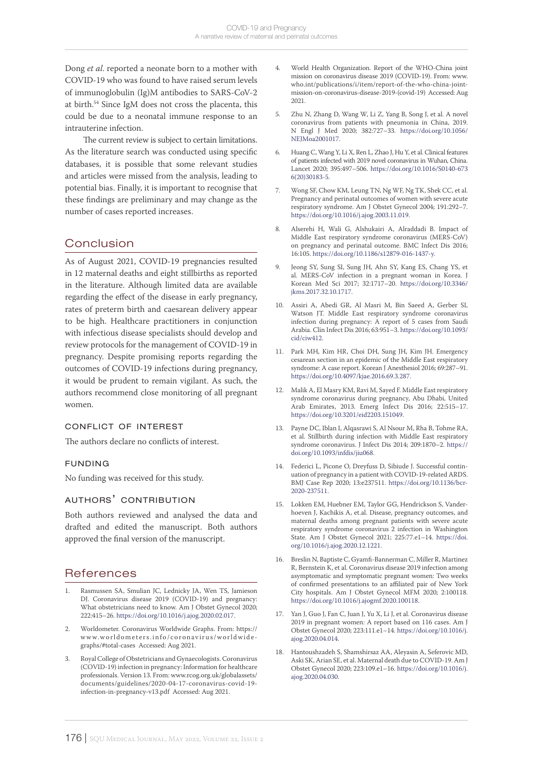Dong *et al*. reported a neonate born to a mother with COVID-19 who was found to have raised serum levels of immunoglobulin (Ig)M antibodies to SARS-CoV-2 at birth.54 Since IgM does not cross the placenta, this could be due to a neonatal immune response to an intrauterine infection.

The current review is subject to certain limitations. As the literature search was conducted using specific databases, it is possible that some relevant studies and articles were missed from the analysis, leading to potential bias. Finally, it is important to recognise that these findings are preliminary and may change as the number of cases reported increases.

# **Conclusion**

As of August 2021, COVID-19 pregnancies resulted in 12 maternal deaths and eight stillbirths as reported in the literature. Although limited data are available regarding the effect of the disease in early pregnancy, rates of preterm birth and caesarean delivery appear to be high. Healthcare practitioners in conjunction with infectious disease specialists should develop and review protocols for the management of COVID-19 in pregnancy. Despite promising reports regarding the outcomes of COVID-19 infections during pregnancy, it would be prudent to remain vigilant. As such, the authors recommend close monitoring of all pregnant women.

### conflict of interest

The authors declare no conflicts of interest.

### funding

No funding was received for this study.

### authors' contribution

Both authors reviewed and analysed the data and drafted and edited the manuscript. Both authors approved the final version of the manuscript.

# References

- Rasmussen SA, Smulian JC, Lednicky JA, Wen TS, Jamieson DJ. Coronavirus disease 2019 (COVID-19) and pregnancy: What obstetricians need to know. Am J Obstet Gynecol 2020; 222:415–26.<https://doi.org/10.1016/j.ajog.2020.02.017>.
- 2. Worldometer. Coronavirus Worldwide Graphs. From: https:// www.worldometers.info/coronavirus/worldwidegraphs/#total-cases Accessed: Aug 2021.
- 3. Royal College of Obstetricians and Gynaecologists. Coronavirus (COVID-19) infection in pregnancy: Information for healthcare professionals. Version 13. From: www.rcog.org.uk/globalassets/ documents/guidelines/2020-04-17-coronavirus-covid-19 infection-in-pregnancy-v13.pdf Accessed: Aug 2021.
- 4. World Health Organization. Report of the WHO-China joint mission on coronavirus disease 2019 (COVID-19). From: www. who.int/publications/i/item/report-of-the-who-china-jointmission-on-coronavirus-disease-2019-(covid-19) Accessed: Aug 2021.
- 5. Zhu N, Zhang D, Wang W, Li Z, Yang B, Song J, et al. A novel coronavirus from patients with pneumonia in China, 2019. N Engl J Med 2020; 382:727–33. [https://doi.org/10.1056/](https://doi.org/10.1056/NEJMoa2001017) NEIMoa2001017.
- 6. Huang C, Wang Y, Li X, Ren L, Zhao J, Hu Y, et al. Clinical features of patients infected with 2019 novel coronavirus in Wuhan, China. Lancet 2020; 395:497–506. [https://doi.org/10.1016/S0140-673](https://doi.org/10.1016/S0140-6736(20)30183-5) [6\(20\)30183-5](https://doi.org/10.1016/S0140-6736(20)30183-5).
- 7. Wong SF, Chow KM, Leung TN, Ng WF, Ng TK, Shek CC, et al. Pregnancy and perinatal outcomes of women with severe acute respiratory syndrome. Am J Obstet Gynecol 2004; 191:292–7. [https://doi.org/10.1016/j.ajog.2003.11.019.](https://doi.org/10.1016/j.ajog.2003.11.019)
- 8. Alserehi H, Wali G, Alshukairi A, Alraddadi B. Impact of Middle East respiratory syndrome coronavirus (MERS-CoV) on pregnancy and perinatal outcome. BMC Infect Dis 2016; 16:105.<https://doi.org/10.1186/s12879-016-1437-y>.
- 9. Jeong SY, Sung SI, Sung JH, Ahn SY, Kang ES, Chang YS, et al. MERS-CoV infection in a pregnant woman in Korea. J Korean Med Sci 2017; 32:1717–20. [https://doi.org/10.3346/](https://doi.org/10.3346/jkms.2017.32.10.1717) [jkms.2017.32.10.1717](https://doi.org/10.3346/jkms.2017.32.10.1717).
- 10. Assiri A, Abedi GR, Al Masri M, Bin Saeed A, Gerber SI, Watson JT. Middle East respiratory syndrome coronavirus infection during pregnancy: A report of 5 cases from Saudi Arabia. Clin Infect Dis 2016; 63:951–3. [https://doi.org/10.1093/](https://doi.org/10.1093/cid/ciw412) [cid/ciw412](https://doi.org/10.1093/cid/ciw412).
- 11. Park MH, Kim HR, Choi DH, Sung JH, Kim JH. Emergency cesarean section in an epidemic of the Middle East respiratory syndrome: A case report. Korean J Anesthesiol 2016; 69:287–91. [https://doi.org/10.4097/kjae.2016.69.3.287.](https://doi.org/10.4097/kjae.2016.69.3.287)
- 12. Malik A, El Masry KM, Ravi M, Sayed F. Middle East respiratory syndrome coronavirus during pregnancy, Abu Dhabi, United Arab Emirates, 2013. Emerg Infect Dis 2016; 22:515–17. [https://doi.org/10.3201/eid2203.151049.](https://doi.org/10.3201/eid2203.151049)
- 13. Payne DC, Iblan I, Alqasrawi S, Al Nsour M, Rha B, Tohme RA, et al. Stillbirth during infection with Middle East respiratory syndrome coronavirus. J Infect Dis 2014; 209:1870–2. [https://](https://doi.org/10.1093/infdis/jiu068) [doi.org/10.1093/infdis/jiu068.](https://doi.org/10.1093/infdis/jiu068)
- 14. Federici L, Picone O, Dreyfuss D, Sibiude J. Successful continuation of pregnancy in a patient with COVID-19-related ARDS. BMJ Case Rep 2020; 13:e237511. [https://doi.org/10.1136/bcr-](https://doi.org/10.1136/bcr-2020-237511)[2020-237511](https://doi.org/10.1136/bcr-2020-237511).
- 15. Lokken EM, Huebner EM, Taylor GG, Hendrickson S, Vanderhoeven J, Kachikis A, et.al. Disease, pregnancy outcomes, and maternal deaths among pregnant patients with severe acute respiratory syndrome coronavirus 2 infection in Washington State. Am J Obstet Gynecol 2021; 225:77.e1–14. [https://doi.](https://doi.org/10.1016/j.ajog.2020.12.1221) [org/10.1016/j.ajog.2020.12.1221.](https://doi.org/10.1016/j.ajog.2020.12.1221)
- 16. Breslin N, Baptiste C, Gyamfi-Bannerman C, Miller R, Martinez R, Bernstein K, et al. Coronavirus disease 2019 infection among asymptomatic and symptomatic pregnant women: Two weeks of confirmed presentations to an affiliated pair of New York City hospitals. Am J Obstet Gynecol MFM 2020; 2:100118. [https://doi.org/10.1016/j.ajogmf.2020.100118.](https://doi.org/10.1016/j.ajogmf.2020.100118)
- 17. Yan J, Guo J, Fan C, Juan J, Yu X, Li J, et al. Coronavirus disease 2019 in pregnant women: A report based on 116 cases. Am J Obstet Gynecol 2020; 223:111.e1–14. [https://doi.org/10.1016/j.](https://doi.org/10.1016/j.ajog.2020.04.014) [ajog.2020.04.014](https://doi.org/10.1016/j.ajog.2020.04.014).
- 18. Hantoushzadeh S, Shamshirsaz AA, Aleyasin A, Seferovic MD, Aski SK, Arian SE, et al. Maternal death due to COVID-19. Am J Obstet Gynecol 2020; 223:109.e1–16. [https://doi.org/10.1016/j.](https://doi.org/10.1016/j.ajog.2020.04.030) [ajog.2020.04.030](https://doi.org/10.1016/j.ajog.2020.04.030).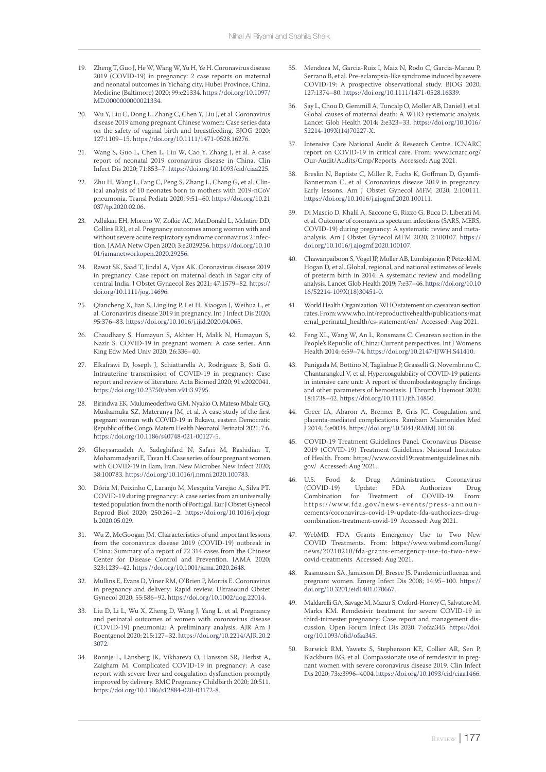- 19. Zheng T, Guo J, He W, Wang W, Yu H, Ye H. Coronavirus disease 2019 (COVID-19) in pregnancy: 2 case reports on maternal and neonatal outcomes in Yichang city, Hubei Province, China. Medicine (Baltimore) 2020; 99:e21334. [https://doi.org/10.1097/](https://doi.org/10.1097/MD.0000000000021334) [MD.0000000000021334.](https://doi.org/10.1097/MD.0000000000021334)
- 20. Wu Y, Liu C, Dong L, Zhang C, Chen Y, Liu J, et al. Coronavirus disease 2019 among pregnant Chinese women: Case series data on the safety of vaginal birth and breastfeeding. BJOG 2020; 127:1109–15. [https://doi.org/10.1111/1471-0528.16276.](https://doi.org/10.1111/1471-0528.16276)
- 21. Wang S, Guo L, Chen L, Liu W, Cao Y, Zhang J, et al. A case report of neonatal 2019 coronavirus disease in China. Clin Infect Dis 2020; 71:853–7. [https://doi.org/10.1093/cid/ciaa225.](https://doi.org/10.1093/cid/ciaa225)
- 22. Zhu H, Wang L, Fang C, Peng S, Zhang L, Chang G, et al. Clinical analysis of 10 neonates born to mothers with 2019-nCoV pneumonia. Transl Pediatr 2020; 9:51–60. [https://doi.org/10.21](https://doi.org/10.21037/tp.2020.02.06) [037/tp.2020.02.06.](https://doi.org/10.21037/tp.2020.02.06)
- 23. Adhikari EH, Moreno W, Zofkie AC, MacDonald L, Mclntire DD, Collins RRJ, et al. Pregnancy outcomes among women with and without severe acute respiratory syndrome coronavirus 2 infection. JAMA Netw Open 2020; 3:e2029256. [https://doi.org/10.10](https://doi.org/10.1001/jamanetworkopen.2020.29256) [01/jamanetworkopen.2020.29256](https://doi.org/10.1001/jamanetworkopen.2020.29256).
- 24. Rawat SK, Saad T, Jindal A, Vyas AK. Coronavirus disease 2019 in pregnancy: Case report on maternal death in Sagar city of central India. J Obstet Gynaecol Res 2021; 47:1579–82. [https://](https://doi.org/10.1111/jog.14696) [doi.org/10.1111/jog.14696.](https://doi.org/10.1111/jog.14696)
- 25. Qiancheng X, Jian S, Lingling P, Lei H, Xiaogan J, Weihua L, et al. Coronavirus disease 2019 in pregnancy. Int J Infect Dis 2020; 95:376–83.<https://doi.org/10.1016/j.ijid.2020.04.065>.
- 26. Chaudhary S, Humayun S, Akhter H, Malik N, Humayun S, Nazir S. COVID-19 in pregnant women: A case series. Ann King Edw Med Univ 2020; 26:336–40.
- 27. Elkafrawi D, Joseph J, Schiattarella A, Rodriguez B, Sisti G. Intrauterine transmission of COVID-19 in pregnancy: Case report and review of literature. Acta Biomed 2020; 91:e2020041. <https://doi.org/10.23750/abm.v91i3.9795>.
- 28. Birindwa EK, Mulumeoderhwa GM, Nyakio O, Mateso Mbale GQ, Mushamuka SZ, Materanya JM, et al. A case study of the first pregnant woman with COVID-19 in Bukavu, eastern Democratic Republic of the Congo. Matern Health Neonatol Perinatol 2021; 7:6. <https://doi.org/10.1186/s40748-021-00127-5>.
- 29. Gheysarzadeh A, Sadeghifard N, Safari M, Rashidian T, Mohammadyari E, Tavan H. Case series of four pregnant women with COVID-19 in Ilam, Iran. New Microbes New Infect 2020; 38:100783. <https://doi.org/10.1016/j.nmni.2020.100783>.
- 30. Dória M, Peixinho C, Laranjo M, Mesquita Varejão A, Silva PT. COVID-19 during pregnancy: A case series from an universally tested population from the north of Portugal. Eur J Obstet Gynecol Reprod Biol 2020; 250:261–2. [https://doi.org/10.1016/j.ejogr](https://doi.org/10.1016/j.ejogrb.2020.05.029) [b.2020.05.029](https://doi.org/10.1016/j.ejogrb.2020.05.029).
- 31. Wu Z, McGoogan JM. Characteristics of and important lessons from the coronavirus disease 2019 (COVID-19) outbreak in China: Summary of a report of 72 314 cases from the Chinese Center for Disease Control and Prevention. JAMA 2020; 323:1239–42. <https://doi.org/10.1001/jama.2020.2648>.
- 32. Mullins E, Evans D, Viner RM, O'Brien P, Morris E. Coronavirus in pregnancy and delivery: Rapid review. Ultrasound Obstet Gynecol 2020; 55:586–92. [https://doi.org/10.1002/uog.22014.](https://doi.org/10.1002/uog.22014)
- 33. Liu D, Li L, Wu X, Zheng D, Wang J, Yang L, et al. Pregnancy and perinatal outcomes of women with coronavirus disease (COVID-19) pneumonia: A preliminary analysis. AJR Am J Roentgenol 2020; 215:127–32. [https://doi.org/10.2214/AJR.20.2](https://doi.org/10.2214/AJR.20.23072) [3072.](https://doi.org/10.2214/AJR.20.23072)
- Ronnje L, Länsberg JK, Vikhareva O, Hansson SR, Herbst A, Zaigham M. Complicated COVID-19 in pregnancy: A case report with severe liver and coagulation dysfunction promptly improved by delivery. BMC Pregnancy Childbirth 2020; 20:511. <https://doi.org/10.1186/s12884-020-03172-8>.
- 35. Mendoza M, Garcia-Ruiz I, Maiz N, Rodo C, Garcia-Manau P, Serrano B, et al. Pre-eclampsia-like syndrome induced by severe COVID-19: A prospective observational study. BJOG 2020; 127:1374–80. [https://doi.org/10.1111/1471-0528.16339.](https://doi.org/10.1111/1471-0528.16339)
- Say L, Chou D, Gemmill A, Tuncalp O, Moller AB, Daniel J, et al. Global causes of maternal death: A WHO systematic analysis. Lancet Glob Health 2014; 2:e323–33. [https://doi.org/10.1016/](https://doi.org/10.1016/S2214-109X(14)70227-X) [S2214-109X\(14\)70227-X](https://doi.org/10.1016/S2214-109X(14)70227-X).
- 37. Intensive Care National Audit & Research Centre. ICNARC report on COVID-19 in critical care. From: www.icnarc.org/ Our-Audit/Audits/Cmp/Reports Accessed: Aug 2021.
- Breslin N, Baptiste C, Miller R, Fuchs K, Goffman D, Gyamfi-Bannerman C, et al. Coronavirus disease 2019 in pregnancy: Early lessons. Am J Obstet Gynecol MFM 2020; 2:100111. <https://doi.org/10.1016/j.ajogmf.2020.100111>.
- 39. Di Mascio D, Khalil A, Saccone G, Rizzo G, Buca D, Liberati M, et al. Outcome of coronavirus spectrum infections (SARS, MERS, COVID-19) during pregnancy: A systematic review and metaanalysis. Am J Obstet Gynecol MFM 2020; 2:100107. [https://](https://doi.org/10.1016/j.ajogmf.2020.100107) [doi.org/10.1016/j.ajogmf.2020.100107](https://doi.org/10.1016/j.ajogmf.2020.100107).
- 40. Chawanpaiboon S, Vogel JP, Moller AB, Lumbiganon P, Petzold M, Hogan D, et al. Global, regional, and national estimates of levels of preterm birth in 2014: A systematic review and modelling analysis. Lancet Glob Health 2019; 7:e37–46. [https://doi.org/10.10](https://doi.org/10.10 16/S2214-109X(18)30451-0) [16/S2214-109X\(18\)30451-0](https://doi.org/10.10 16/S2214-109X(18)30451-0).
- 41. World Health Organization. WHO statement on caesarean section rates. From: www.who.int/reproductivehealth/publications/mat ernal\_perinatal\_health/cs-statement/en/ Accessed: Aug 2021.
- 42. Feng XL, Wang W, An L, Ronsmans C. Cesarean section in the People's Republic of China: Current perspectives. Int J Womens Health 2014; 6:59–74.<https://doi.org/10.2147/IJWH.S41410>.
- 43. Panigada M, Bottino N, Tagliabue P, Grasselli G, Novembrino C, Chantarangkul V, et al. Hypercoagulability of COVID-19 patients in intensive care unit: A report of thromboelastography findings and other parameters of hemostasis. J Thromb Haemost 2020; 18:1738–42. [https://doi.org/10.1111/jth.14850.](https://doi.org/10.1111/jth.14850)
- 44. Greer IA, Aharon A, Brenner B, Gris JC. Coagulation and placenta-mediated complications. Rambam Maimonides Med J 2014; 5:e0034. <https://doi.org/10.5041/RMMJ.10168>.
- 45. COVID-19 Treatment Guidelines Panel. Coronavirus Disease 2019 (COVID-19) Treatment Guidelines. National Institutes of Health. From: https://www.covid19treatmentguidelines.nih. gov/ Accessed: Aug 2021.
- 46. U.S. Food & Drug Administration. Coronavirus<br>(COVID-19) Update: FDA Authorizes Drug (COVID-19) Update: FDA Authorizes Drug Combination for Treatment of COVID-19. From: https://www.fda.gov/news-events/press-announcements/coronavirus-covid-19-update-fda-authorizes-drugcombination-treatment-covid-19 Accessed: Aug 2021.
- 47. WebMD. FDA Grants Emergency Use to Two New COVID Treatments. From: https://www.webmd.com/lung/ news/20210210/fda-grants-emergency-use-to-two-newcovid-treatments Accessed: Aug 2021.
- 48. Rasmussen SA, Jamieson DJ, Bresee JS. Pandemic influenza and pregnant women. Emerg Infect Dis 2008; 14:95–100. [https://](https://doi.org/10.3201/eid1401.070667) [doi.org/10.3201/eid1401.070667](https://doi.org/10.3201/eid1401.070667).
- 49. Maldarelli GA, Savage M, Mazur S, Oxford-Horrey C, Salvatore M, Marks KM. Remdesivir treatment for severe COVID-19 in third-trimester pregnancy: Case report and management discussion. Open Forum Infect Dis 2020; 7:ofaa345. [https://doi.](https://doi.org/10.1093/ofid/ofaa345) [org/10.1093/ofid/ofaa345.](https://doi.org/10.1093/ofid/ofaa345)
- 50. Burwick RM, Yawetz S, Stephenson KE, Collier AR, Sen P, Blackburn BG, et al. Compassionate use of remdesivir in pregnant women with severe coronavirus disease 2019. Clin Infect Dis 2020; 73:e3996–4004. [https://doi.org/10.1093/cid/ciaa1466.](https://doi.org/10.1093/cid/ciaa1466)